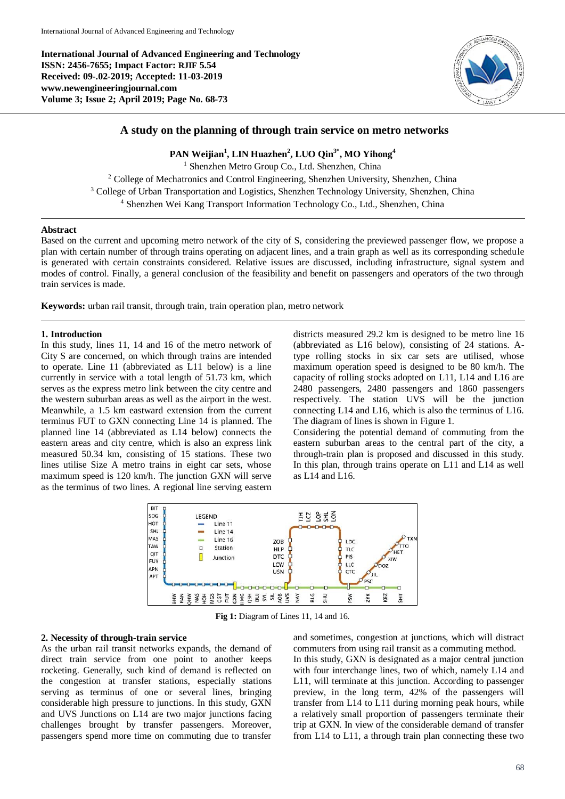**International Journal of Advanced Engineering and Technology ISSN: 2456-7655; Impact Factor: RJIF 5.54 Received: 09-.02-2019; Accepted: 11-03-2019 www.newengineeringjournal.com Volume 3; Issue 2; April 2019; Page No. 68-73**



# **A study on the planning of through train service on metro networks**

# **PAN Weijian<sup>1</sup> , LIN Huazhen<sup>2</sup> , LUO Qin3\* , MO Yihong<sup>4</sup>**

<sup>1</sup> Shenzhen Metro Group Co., Ltd. Shenzhen, China <sup>2</sup> College of Mechatronics and Control Engineering, Shenzhen University, Shenzhen, China <sup>3</sup> College of Urban Transportation and Logistics, Shenzhen Technology University, Shenzhen, China <sup>4</sup> Shenzhen Wei Kang Transport Information Technology Co., Ltd., Shenzhen, China

### **Abstract**

Based on the current and upcoming metro network of the city of S, considering the previewed passenger flow, we propose a plan with certain number of through trains operating on adjacent lines, and a train graph as well as its corresponding schedule is generated with certain constraints considered. Relative issues are discussed, including infrastructure, signal system and modes of control. Finally, a general conclusion of the feasibility and benefit on passengers and operators of the two through train services is made.

**Keywords:** urban rail transit, through train, train operation plan, metro network

## **1. Introduction**

In this study, lines 11, 14 and 16 of the metro network of City S are concerned, on which through trains are intended to operate. Line 11 (abbreviated as L11 below) is a line currently in service with a total length of 51.73 km, which serves as the express metro link between the city centre and the western suburban areas as well as the airport in the west. Meanwhile, a 1.5 km eastward extension from the current terminus FUT to GXN connecting Line 14 is planned. The planned line 14 (abbreviated as L14 below) connects the eastern areas and city centre, which is also an express link measured 50.34 km, consisting of 15 stations. These two lines utilise Size A metro trains in eight car sets, whose maximum speed is 120 km/h. The junction GXN will serve as the terminus of two lines. A regional line serving eastern

districts measured 29.2 km is designed to be metro line 16 (abbreviated as L16 below), consisting of 24 stations. Atype rolling stocks in six car sets are utilised, whose maximum operation speed is designed to be 80 km/h. The capacity of rolling stocks adopted on L11, L14 and L16 are 2480 passengers, 2480 passengers and 1860 passengers respectively. The station UVS will be the junction connecting L14 and L16, which is also the terminus of L16. The diagram of lines is shown in Figure 1.

Considering the potential demand of commuting from the eastern suburban areas to the central part of the city, a through-train plan is proposed and discussed in this study. In this plan, through trains operate on L11 and L14 as well as L14 and L16.



**Fig 1:** Diagram of Lines 11, 14 and 16.

### **2. Necessity of through-train service**

As the urban rail transit networks expands, the demand of direct train service from one point to another keeps rocketing. Generally, such kind of demand is reflected on the congestion at transfer stations, especially stations serving as terminus of one or several lines, bringing considerable high pressure to junctions. In this study, GXN and UVS Junctions on L14 are two major junctions facing challenges brought by transfer passengers. Moreover, passengers spend more time on commuting due to transfer

and sometimes, congestion at junctions, which will distract commuters from using rail transit as a commuting method. In this study, GXN is designated as a major central junction with four interchange lines, two of which, namely L14 and L11, will terminate at this junction. According to passenger preview, in the long term, 42% of the passengers will transfer from L14 to L11 during morning peak hours, while a relatively small proportion of passengers terminate their trip at GXN. In view of the considerable demand of transfer from L14 to L11, a through train plan connecting these two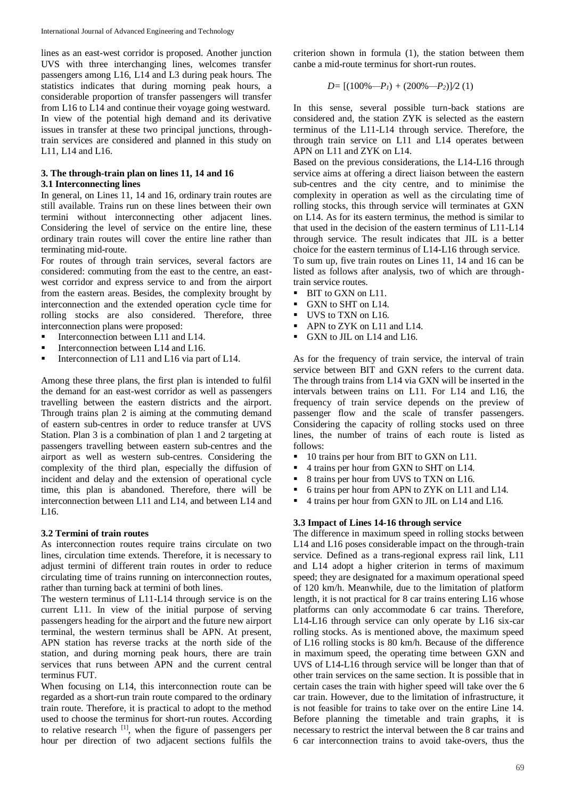lines as an east-west corridor is proposed. Another junction UVS with three interchanging lines, welcomes transfer passengers among L16, L14 and L3 during peak hours. The statistics indicates that during morning peak hours, a considerable proportion of transfer passengers will transfer from L16 to L14 and continue their voyage going westward. In view of the potential high demand and its derivative issues in transfer at these two principal junctions, throughtrain services are considered and planned in this study on L11, L14 and L16.

# **3. The through-train plan on lines 11, 14 and 16 3.1 Interconnecting lines**

In general, on Lines 11, 14 and 16, ordinary train routes are still available. Trains run on these lines between their own termini without interconnecting other adjacent lines. Considering the level of service on the entire line, these ordinary train routes will cover the entire line rather than terminating mid-route.

For routes of through train services, several factors are considered: commuting from the east to the centre, an eastwest corridor and express service to and from the airport from the eastern areas. Besides, the complexity brought by interconnection and the extended operation cycle time for rolling stocks are also considered. Therefore, three interconnection plans were proposed:

- Interconnection between  $\overrightarrow{L}$  11 and  $\overrightarrow{L}$  14.
- Interconnection between L14 and L16.
- Interconnection of L11 and L16 via part of L14.

Among these three plans, the first plan is intended to fulfil the demand for an east-west corridor as well as passengers travelling between the eastern districts and the airport. Through trains plan 2 is aiming at the commuting demand of eastern sub-centres in order to reduce transfer at UVS Station. Plan 3 is a combination of plan 1 and 2 targeting at passengers travelling between eastern sub-centres and the airport as well as western sub-centres. Considering the complexity of the third plan, especially the diffusion of incident and delay and the extension of operational cycle time, this plan is abandoned. Therefore, there will be interconnection between L11 and L14, and between L14 and L16.

## **3.2 Termini of train routes**

As interconnection routes require trains circulate on two lines, circulation time extends. Therefore, it is necessary to adjust termini of different train routes in order to reduce circulating time of trains running on interconnection routes, rather than turning back at termini of both lines.

The western terminus of L11-L14 through service is on the current L11. In view of the initial purpose of serving passengers heading for the airport and the future new airport terminal, the western terminus shall be APN. At present, APN station has reverse tracks at the north side of the station, and during morning peak hours, there are train services that runs between APN and the current central terminus FUT.

When focusing on L14, this interconnection route can be regarded as a short-run train route compared to the ordinary train route. Therefore, it is practical to adopt to the method used to choose the terminus for short-run routes. According to relative research  $\left[1\right]$ , when the figure of passengers per hour per direction of two adjacent sections fulfils the

criterion shown in formula (1), the station between them canbe a mid-route terminus for short-run routes.

$$
D = [(100\% - P1) + (200\% - P2)]/2 (1)
$$

In this sense, several possible turn-back stations are considered and, the station ZYK is selected as the eastern terminus of the L11-L14 through service. Therefore, the through train service on L11 and L14 operates between APN on L11 and ZYK on L14.

Based on the previous considerations, the L14-L16 through service aims at offering a direct liaison between the eastern sub-centres and the city centre, and to minimise the complexity in operation as well as the circulating time of rolling stocks, this through service will terminates at GXN on L14. As for its eastern terminus, the method is similar to that used in the decision of the eastern terminus of L11-L14 through service. The result indicates that JIL is a better choice for the eastern terminus of L14-L16 through service. To sum up, five train routes on Lines 11, 14 and 16 can be listed as follows after analysis, two of which are throughtrain service routes.

- BIT to GXN on L11.
- GXN to SHT on L14.
- UVS to TXN on L16.
- APN to ZYK on L11 and L14.
- GXN to JIL on L14 and L16.

As for the frequency of train service, the interval of train service between BIT and GXN refers to the current data. The through trains from L14 via GXN will be inserted in the intervals between trains on L11. For L14 and L16, the frequency of train service depends on the preview of passenger flow and the scale of transfer passengers. Considering the capacity of rolling stocks used on three lines, the number of trains of each route is listed as follows:

- 10 trains per hour from BIT to GXN on L11.
- 4 trains per hour from GXN to SHT on L14.
- 8 trains per hour from UVS to TXN on L16.
- 6 trains per hour from APN to ZYK on L11 and L14.
- 4 trains per hour from GXN to JIL on L14 and L16.

#### **3.3 Impact of Lines 14-16 through service**

The difference in maximum speed in rolling stocks between L14 and L16 poses considerable impact on the through-train service. Defined as a trans-regional express rail link, L11 and L14 adopt a higher criterion in terms of maximum speed; they are designated for a maximum operational speed of 120 km/h. Meanwhile, due to the limitation of platform length, it is not practical for 8 car trains entering L16 whose platforms can only accommodate 6 car trains. Therefore, L14-L16 through service can only operate by L16 six-car rolling stocks. As is mentioned above, the maximum speed of L16 rolling stocks is 80 km/h. Because of the difference in maximum speed, the operating time between GXN and UVS of L14-L16 through service will be longer than that of other train services on the same section. It is possible that in certain cases the train with higher speed will take over the 6 car train. However, due to the limitation of infrastructure, it is not feasible for trains to take over on the entire Line 14. Before planning the timetable and train graphs, it is necessary to restrict the interval between the 8 car trains and 6 car interconnection trains to avoid take-overs, thus the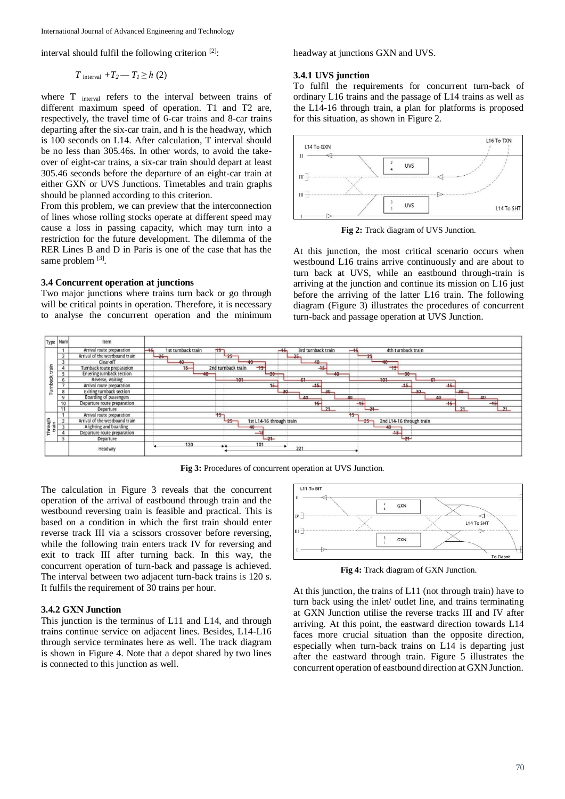International Journal of Advanced Engineering and Technology

interval should fulfil the following criterion [2]:

$$
T_{\text{interval}} + T_2 - T_1 \ge h(2)
$$

where T <sub>interval</sub> refers to the interval between trains of different maximum speed of operation. T1 and T2 are, respectively, the travel time of 6-car trains and 8-car trains departing after the six-car train, and h is the headway, which is 100 seconds on L14. After calculation, T interval should be no less than 305.46s. In other words, to avoid the takeover of eight-car trains, a six-car train should depart at least 305.46 seconds before the departure of an eight-car train at either GXN or UVS Junctions. Timetables and train graphs should be planned according to this criterion.

From this problem, we can preview that the interconnection of lines whose rolling stocks operate at different speed may cause a loss in passing capacity, which may turn into a restriction for the future development. The dilemma of the RER Lines B and D in Paris is one of the case that has the same problem [3].

### **3.4 Concurrent operation at junctions**

Two major junctions where trains turn back or go through will be critical points in operation. Therefore, it is necessary to analyse the concurrent operation and the minimum headway at junctions GXN and UVS.

#### **3.4.1 UVS junction**

To fulfil the requirements for concurrent turn-back of ordinary L16 trains and the passage of L14 trains as well as the L14-16 through train, a plan for platforms is proposed for this situation, as shown in Figure 2.



**Fig 2:** Track diagram of UVS Junction.

At this junction, the most critical scenario occurs when westbound L16 trains arrive continuously and are about to turn back at UVS, while an eastbound through-train is arriving at the junction and continue its mission on L16 just before the arriving of the latter L16 train. The following diagram (Figure 3) illustrates the procedures of concurrent turn-back and passage operation at UVS Junction.



**Fig 3:** Procedures of concurrent operation at UVS Junction.

The calculation in Figure 3 reveals that the concurrent operation of the arrival of eastbound through train and the westbound reversing train is feasible and practical. This is based on a condition in which the first train should enter reverse track III via a scissors crossover before reversing, while the following train enters track IV for reversing and exit to track III after turning back. In this way, the concurrent operation of turn-back and passage is achieved. The interval between two adjacent turn-back trains is 120 s. It fulfils the requirement of 30 trains per hour.

# **3.4.2 GXN Junction**

This junction is the terminus of L11 and L14, and through trains continue service on adjacent lines. Besides, L14-L16 through service terminates here as well. The track diagram is shown in Figure 4. Note that a depot shared by two lines is connected to this junction as well.



**Fig 4:** Track diagram of GXN Junction.

At this junction, the trains of L11 (not through train) have to turn back using the inlet/ outlet line, and trains terminating at GXN Junction utilise the reverse tracks III and IV after arriving. At this point, the eastward direction towards L14 faces more crucial situation than the opposite direction, especially when turn-back trains on L14 is departing just after the eastward through train. Figure 5 illustrates the concurrent operation of eastbound direction at GXN Junction.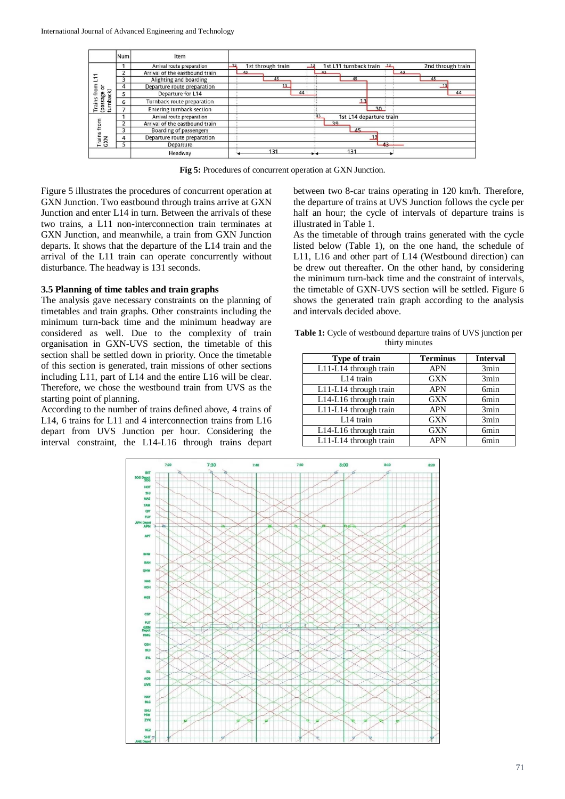

**Fig 5:** Procedures of concurrent operation at GXN Junction.

Figure 5 illustrates the procedures of concurrent operation at GXN Junction. Two eastbound through trains arrive at GXN Junction and enter L14 in turn. Between the arrivals of these two trains, a L11 non-interconnection train terminates at GXN Junction, and meanwhile, a train from GXN Junction departs. It shows that the departure of the L14 train and the arrival of the L11 train can operate concurrently without disturbance. The headway is 131 seconds.

## **3.5 Planning of time tables and train graphs**

The analysis gave necessary constraints on the planning of timetables and train graphs. Other constraints including the minimum turn-back time and the minimum headway are considered as well. Due to the complexity of train organisation in GXN-UVS section, the timetable of this section shall be settled down in priority. Once the timetable of this section is generated, train missions of other sections including L11, part of L14 and the entire L16 will be clear. Therefore, we chose the westbound train from UVS as the starting point of planning.

According to the number of trains defined above, 4 trains of L14, 6 trains for L11 and 4 interconnection trains from L16 depart from UVS Junction per hour. Considering the interval constraint, the L14-L16 through trains depart between two 8-car trains operating in 120 km/h. Therefore, the departure of trains at UVS Junction follows the cycle per half an hour; the cycle of intervals of departure trains is illustrated in Table 1.

As the timetable of through trains generated with the cycle listed below (Table 1), on the one hand, the schedule of L11, L16 and other part of L14 (Westbound direction) can be drew out thereafter. On the other hand, by considering the minimum turn-back time and the constraint of intervals, the timetable of GXN-UVS section will be settled. Figure 6 shows the generated train graph according to the analysis and intervals decided above.

**Table 1:** Cycle of westbound departure trains of UVS junction per thirty minutes

| Type of train         | <b>Terminus</b> | <b>Interval</b>  |
|-----------------------|-----------------|------------------|
| L11-L14 through train | <b>APN</b>      | 3min             |
| L14 train             | <b>GXN</b>      | 3min             |
| L11-L14 through train | <b>APN</b>      | 6 <sub>min</sub> |
| L14-L16 through train | <b>GXN</b>      | 6 <sub>min</sub> |
| L11-L14 through train | <b>APN</b>      | 3min             |
| L14 train             | <b>GXN</b>      | 3min             |
| L14-L16 through train | <b>GXN</b>      | 6 <sub>min</sub> |
| L11-L14 through train | <b>APN</b>      | <b>6min</b>      |

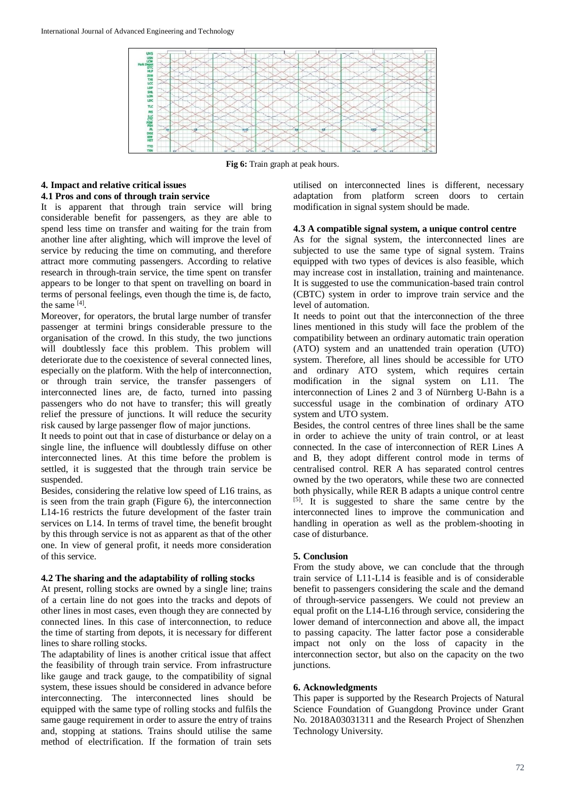

**Fig 6:** Train graph at peak hours.

## **4. Impact and relative critical issues**

## **4.1 Pros and cons of through train service**

It is apparent that through train service will bring considerable benefit for passengers, as they are able to spend less time on transfer and waiting for the train from another line after alighting, which will improve the level of service by reducing the time on commuting, and therefore attract more commuting passengers. According to relative research in through-train service, the time spent on transfer appears to be longer to that spent on travelling on board in terms of personal feelings, even though the time is, de facto, the same  $^{[4]}$ .

Moreover, for operators, the brutal large number of transfer passenger at termini brings considerable pressure to the organisation of the crowd. In this study, the two junctions will doubtlessly face this problem. This problem will deteriorate due to the coexistence of several connected lines, especially on the platform. With the help of interconnection, or through train service, the transfer passengers of interconnected lines are, de facto, turned into passing passengers who do not have to transfer; this will greatly relief the pressure of junctions. It will reduce the security risk caused by large passenger flow of major junctions.

It needs to point out that in case of disturbance or delay on a single line, the influence will doubtlessly diffuse on other interconnected lines. At this time before the problem is settled, it is suggested that the through train service be suspended.

Besides, considering the relative low speed of L16 trains, as is seen from the train graph (Figure 6), the interconnection L14-16 restricts the future development of the faster train services on L14. In terms of travel time, the benefit brought by this through service is not as apparent as that of the other one. In view of general profit, it needs more consideration of this service.

## **4.2 The sharing and the adaptability of rolling stocks**

At present, rolling stocks are owned by a single line; trains of a certain line do not goes into the tracks and depots of other lines in most cases, even though they are connected by connected lines. In this case of interconnection, to reduce the time of starting from depots, it is necessary for different lines to share rolling stocks.

The adaptability of lines is another critical issue that affect the feasibility of through train service. From infrastructure like gauge and track gauge, to the compatibility of signal system, these issues should be considered in advance before interconnecting. The interconnected lines should be equipped with the same type of rolling stocks and fulfils the same gauge requirement in order to assure the entry of trains and, stopping at stations. Trains should utilise the same method of electrification. If the formation of train sets

utilised on interconnected lines is different, necessary adaptation from platform screen doors to certain modification in signal system should be made.

### **4.3 A compatible signal system, a unique control centre**

As for the signal system, the interconnected lines are subjected to use the same type of signal system. Trains equipped with two types of devices is also feasible, which may increase cost in installation, training and maintenance. It is suggested to use the communication-based train control (CBTC) system in order to improve train service and the level of automation.

It needs to point out that the interconnection of the three lines mentioned in this study will face the problem of the compatibility between an ordinary automatic train operation (ATO) system and an unattended train operation (UTO) system. Therefore, all lines should be accessible for UTO and ordinary ATO system, which requires certain modification in the signal system on L11. The interconnection of Lines 2 and 3 of Nürnberg U-Bahn is a successful usage in the combination of ordinary ATO system and UTO system.

Besides, the control centres of three lines shall be the same in order to achieve the unity of train control, or at least connected. In the case of interconnection of RER Lines A and B, they adopt different control mode in terms of centralised control. RER A has separated control centres owned by the two operators, while these two are connected both physically, while RER B adapts a unique control centre [5]. It is suggested to share the same centre by the interconnected lines to improve the communication and handling in operation as well as the problem-shooting in case of disturbance.

## **5. Conclusion**

From the study above, we can conclude that the through train service of L11-L14 is feasible and is of considerable benefit to passengers considering the scale and the demand of through-service passengers. We could not preview an equal profit on the L14-L16 through service, considering the lower demand of interconnection and above all, the impact to passing capacity. The latter factor pose a considerable impact not only on the loss of capacity in the interconnection sector, but also on the capacity on the two junctions.

## **6. Acknowledgments**

This paper is supported by the Research Projects of Natural Science Foundation of Guangdong Province under Grant No. 2018A03031311 and the Research Project of Shenzhen Technology University.